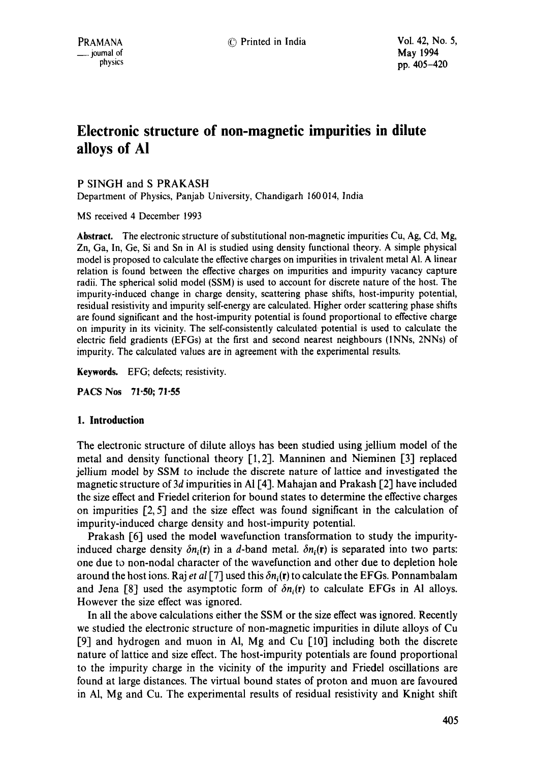# **Electronic structure of non-magnetic impurities in dilute alloys of A!**

# P SINGH and S PRAKASH

Department of Physics, Panjab University, Chandigarh 160014, India

MS received 4 December 1993

**Abstract.** The electronic structure of substitutional non-magnetic impurities Cu, Ag, Cd, Mg, Zn, Ga, In, Ge, Si and Sn in AI is studied using density functional theory. A simple physical model is proposed to calculate the effective charges on impurities in trivalent metal AI. A linear relation is found between the effective charges on impurities and impurity vacancy capture radii. The spherical solid model (SSM) is used to account for discrete nature of the host. The impurity-induced change in charge density, scattering phase shifts, host-impurity potential, residual resistivity and impurity self-energy are calculated. Higher order scattering phase shifts are found significant and the host-impurity potential is found proportional to effective charge on impurity in its vicinity. The self-consistently calculated potential is used to calculate the electric field gradients (EFGs) at the first and second nearest neighbours (INNs, 2NNs) of impurity. The calculated values are in agreement with the experimental results.

**Keywords.** EFG; defects; resistivity.

PACS Nos 71-50; 71-55

## **1. Introduction**

The electronic structure of dilute alloys has been studied using jellium model of the metal and density functional theory [1,2]. Manninen and Nieminen [3] replaced jellium model by SSM to include the discrete nature of lattice and investigated the magnetic structure of 3d impurities in Al [4]. Mahajan and Prakash [2] have included the size effect and Friedel criterion for bound states to determine the effective charges on impurities [2, 5] and the size effect was found significant in the calculation of impurity-induced charge density and host-impurity potential.

Prakash [6] used the model wavefunction transformation to study the impurityinduced charge density  $\delta n_i(r)$  in a d-band metal.  $\delta n_i(r)$  is separated into two parts: one due to non-nodal character of the wavefunction and other due to depletion hole around the host ions. Raj *et al* [7] used this  $\delta n_i(\mathbf{r})$  to calculate the EFGs. Ponnambalam and Jena [8] used the asymptotic form of  $\delta n_i(r)$  to calculate EFGs in Al alloys. However the size effect was ignored.

In all the above calculations either the SSM or the size effect was ignored. Recently we studied the electronic structure of non-magnetic impurities in dilute alloys of Cu [9] and hydrogen and muon in AI, Mg and Cu [10] including both the discrete nature of lattice and size effect. The host-impurity potentials are found proportional to the impurity charge in the vicinity of the impurity and Friedel oscillations are found at large distances. The virtual bound states of proton and muon are favoured in AI, Mg and Cu. The experimental results of residual resistivity and Knight shift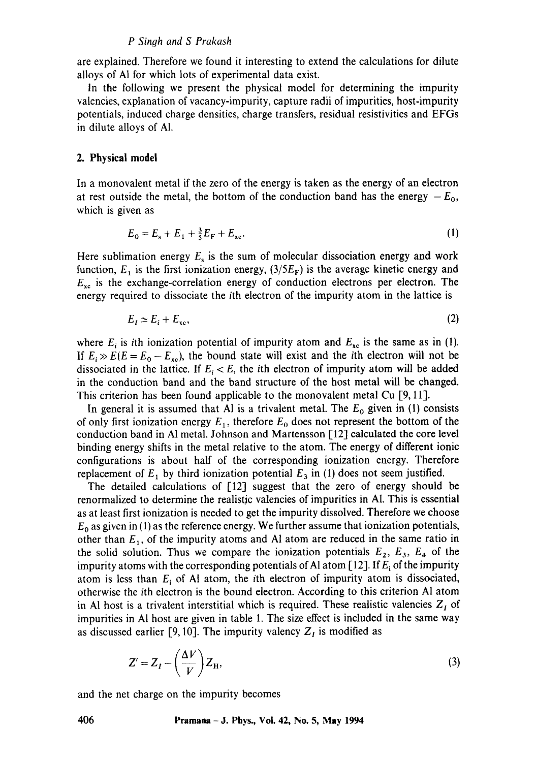#### *P Singh and S Prakash*

are explained. Therefore we found it interesting to extend the calculations for dilute alloys of A1 for which lots of experimental data exist.

In the following we present the physical model for determining the impurity valencies, explanation of vacancy-impurity, capture radii of impurities, host-impurity potentials, induced charge densities, charge transfers, residual resistivities and EFGs in dilute alloys of AI.

#### **2. Physical model**

In a monovalent metal if the zero of the energy is taken as the energy of an electron at rest outside the metal, the bottom of the conduction band has the energy  $-E_0$ , which is given as

$$
E_0 = E_s + E_1 + \frac{3}{5}E_F + E_{xc}.
$$
 (1)

Here sublimation energy  $E_s$  is the sum of molecular dissociation energy and work function,  $E_1$  is the first ionization energy,  $(3/5E_F)$  is the average kinetic energy and  $E_{xc}$  is the exchange-correlation energy of conduction electrons per electron. The energy required to dissociate the ith electron of the impurity atom in the lattice is

$$
E_t \simeq E_t + E_{\rm xc},\tag{2}
$$

where  $E_i$  is ith ionization potential of impurity atom and  $E_{xc}$  is the same as in (1). If  $E_i \gg E(E = E_0 - E_{xc})$ , the bound state will exist and the *i*th electron will not be dissociated in the lattice. If  $E_i < E$ , the *i*th electron of impurity atom will be added in the conduction band and the band structure of the host metal will be changed. This criterion has been found applicable to the monovalent metal Cu [9, 11].

In general it is assumed that Al is a trivalent metal. The  $E_0$  given in (1) consists of only first ionization energy  $E_1$ , therefore  $E_0$  does not represent the bottom of the conduction band in A1 metal. Johnson and Martensson [12] calculated the core level binding energy shifts in the metal relative to the atom. The energy of different ionic configurations is about half of the corresponding ionization energy. Therefore replacement of  $E_1$  by third ionization potential  $E_3$  in (1) does not seem justified.

The detailed calculations of  $[12]$  suggest that the zero of energy should be renormalized to determine the realistic valencies of impurities in A1. This is essential as at least first ionization is needed to get the impurity dissolved. Therefore we choose  $E_0$  as given in (1) as the reference energy. We further assume that ionization potentials, other than  $E_1$ , of the impurity atoms and Al atom are reduced in the same ratio in the solid solution. Thus we compare the ionization potentials  $E_2$ ,  $E_3$ ,  $E_4$  of the impurity atoms with the corresponding potentials of Al atom [12]. If  $E_i$  of the impurity atom is less than  $E_i$  of Al atom, the *i*th electron of impurity atom is dissociated, otherwise the ith electron is the bound electron. According to this criterion A1 atom in Al host is a trivalent interstitial which is required. These realistic valencies  $Z_I$  of impurities in A1 host are given in table 1. The size effect is included in the same way as discussed earlier [9, 10]. The impurity valency  $Z_I$  is modified as

$$
Z' = Z_I - \left(\frac{\Delta V}{V}\right) Z_H,\tag{3}
$$

and the net charge on the impurity becomes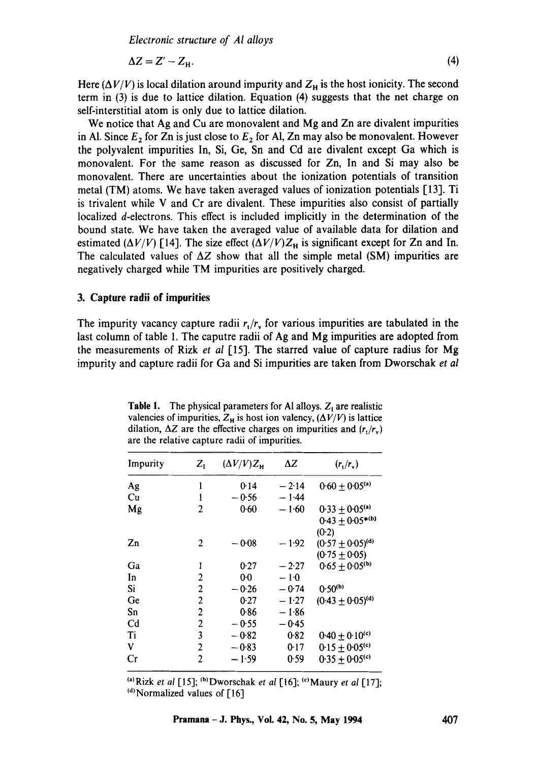*Electronic structure of AI alloys* 

$$
\Delta Z = Z' - Z_{\rm H}.\tag{4}
$$

Here  $(\Delta V/V)$  is local dilation around impurity and  $Z_H$  is the host ionicity. The second term in (3) is due to lattice dilation. Equation (4) suggests that the net charge on self-interstitial atom is only due to lattice dilation.

We notice that Ag and Cu are monovalent and Mg and Zn are divalent impurities in Al. Since  $E_2$  for Zn is just close to  $E_2$  for Al, Zn may also be monovalent. However the polyvalent impurities In, Si, Ge, Sn and Cd ate divalent except Ga which is monovalent. For the same reason as discussed for Zn, In and Si may also be monovalent. There are uncertainties about the ionization potentials of transition metal (TM) atoms. We have taken averaged values of ionization potentials [13]. Ti is trivalent while V and Cr are divalent. These impurities also consist of partially localized d-electrons. This effect is included implicitly in the determination of the bound state. We have taken the averaged value of available data for dilation and estimated  $(\Delta V/V)$  [14]. The size effect  $(\Delta V/V)Z_H$  is significant except for Zn and In. The calculated values of  $\Delta Z$  show that all the simple metal (SM) impurities are negatively charged while TM impurities are positively charged.

#### **3. Capture radii of impurities**

The impurity vacancy capture radii  $r_t/r_v$  for various impurities are tabulated in the last column of table 1. The caputre radii of Ag and Mg impurities are adopted from the measurements of Rizk *et al* [15]. The starred value of capture radius for Mg impurity and capture radii for Ga and Si impurities are taken from Dworschak *et al* 

| Impurity       | $Z_1$          | $(\Delta V/V)Z_{\rm H}$ | ΔZ      | $(r_{\rm t}/r_{\rm v})$                                           |
|----------------|----------------|-------------------------|---------|-------------------------------------------------------------------|
| Ag             | 1              | 0.14                    | $-2.14$ | $0.60 \pm 0.05$ <sup>(a)</sup>                                    |
| Cu             | 1              | - 0.56                  | $-1.44$ |                                                                   |
| Mg             | 2              | 0.60                    | $-1.60$ | $0.33 \pm 0.05$ <sup>(a)</sup><br>$0.43 \pm 0.05^{*(b)}$<br>(0.2) |
| Zn             | 2              | $-0.08$                 | $-1.92$ | $(0.57 \pm 0.05)^{(d)}$<br>$(0.75 \pm 0.05)$                      |
| Ga             | 1              | 0.27                    | $-2.27$ | $0.65 + 0.05^{(b)}$                                               |
| In             | 2              | 00                      | $-1.0$  |                                                                   |
| Si             | $\overline{2}$ | $-0.26$                 | $-0.74$ | $0.50^{(b)}$                                                      |
| Ge             | $\overline{2}$ | 0.27                    | $-1.27$ | $(0.43 \pm 0.05)^{(d)}$                                           |
| Sn             | $\overline{2}$ | 0.86                    | $-1.86$ |                                                                   |
| C <sub>d</sub> | $\overline{c}$ | $-0.55$                 | $-0.45$ |                                                                   |
| Ti             | 3              | $-0.82$                 | 0.82    | 0.40 $\pm$ 0.10 <sup>(c)</sup>                                    |
| V              | 2              | $-0.83$                 | 0.17    | $0.15 \pm 0.05$ <sup>(c)</sup>                                    |
| Cr             | 2              | $-1.59$                 | 0.59    | $0.35 \pm 0.05$ <sup>(c)</sup>                                    |

**Table 1.** The physical parameters for Al alloys.  $Z_1$  are realistic valencies of impurities,  $Z_H$  is host ion valency,  $(\Delta V/V)$  is lattice dilation,  $\Delta Z$  are the effective charges on impurities and  $(r_t/r_v)$ are the relative capture radii of impurities.

<sup>(a)</sup>Rizk *et al* [15]; <sup>(b)</sup>Dworschak *et al* [16]; <sup>(c)</sup>Maury *et al* [17];  $\vert$ <sup>(d)</sup> Normalized values of [16]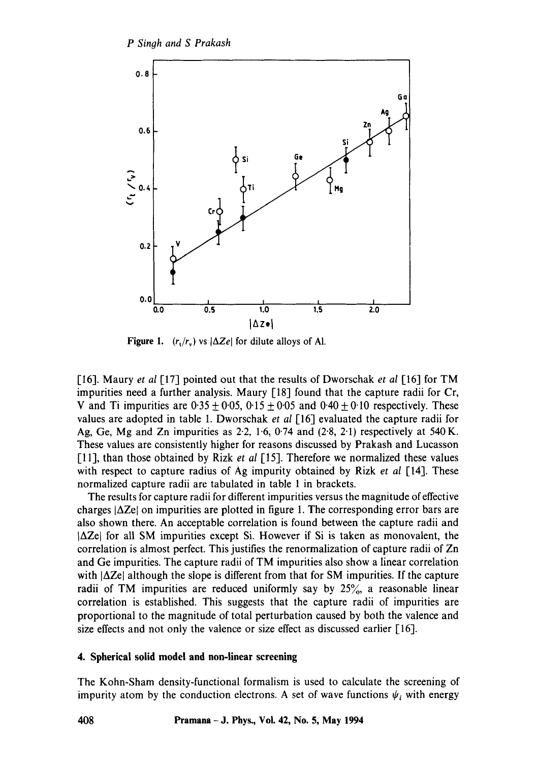

**Figure 1.**  $(r_t/r_v)$  vs  $|\Delta Ze|$  for dilute alloys of Al.

1-16]. Maury *et al* [17] pointed out that the results of Dworschak *et al* [16] for TM impurities need a further analysis. Maury [18] found that the capture radii for Cr, V and Ti impurities are  $0.35 \pm 0.05$ ,  $0.15 \pm 0.05$  and  $0.40 \pm 0.10$  respectively. These values are adopted in table 1. Dworschak *et al* [16] evaluated the capture radii for Ag, Ge, Mg and Zn impurities as  $2.2$ ,  $1.6$ ,  $0.74$  and  $(2.8, 2.1)$  respectively at  $540$  K. These values are consistently higher for reasons discussed by Prakash and Lucasson [11], than those obtained by Rizk *et al* [15]. Therefore we normalized these values with respect to capture radius of Ag impurity obtained by Rizk *et al* [14]. These normalized capture radii are tabulated in table 1 in brackets.

The results for capture radii for different impurities versus the magnitude of effective charges  $|\Delta Ze|$  on impurities are plotted in figure 1. The corresponding error bars are also shown there. An acceptable correlation is found between the capture radii and  $|\Delta Ze|$  for all SM impurities except Si. However if Si is taken as monovalent, the correlation is almost perfect. This justifies the renormalization of capture radii of Zn and Ge impurities. The capture radii of TM impurities also show a linear correlation with  $|\Delta Ze|$  although the slope is different from that for SM impurities. If the capture radii of TM impurities are reduced uniformly say by 25%, a reasonable linear correlation is established. This suggests that the capture radii of impurities are proportional to the magnitude of total perturbation caused by both the valence and size effects and not only the valence or size effect as discussed earlier [16].

# **4. Spherical solid model and non-linear screening**

The Kohn-Sham density-functional formalism is used to calculate the screening of impurity atom by the conduction electrons. A set of wave functions  $\psi_i$  with energy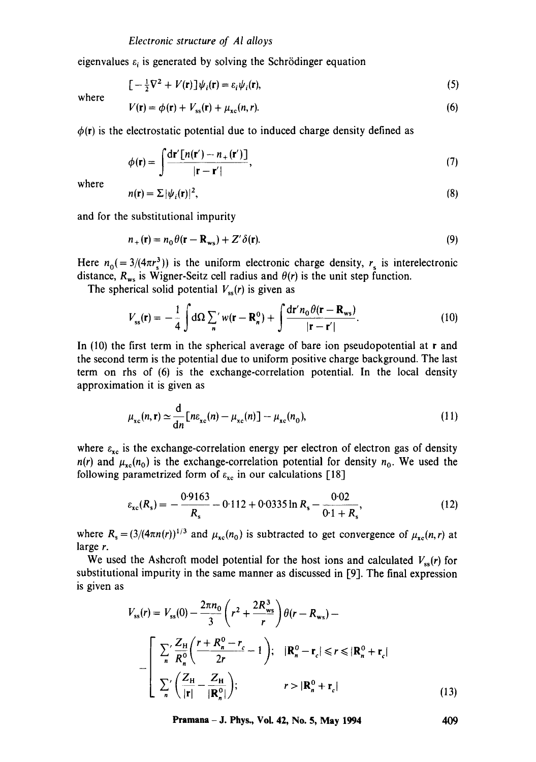eigenvalues  $\varepsilon_i$  is generated by solving the Schrödinger equation

$$
\left[-\frac{1}{2}\nabla^2 + V(\mathbf{r})\right]\psi_i(\mathbf{r}) = \varepsilon_i\psi_i(\mathbf{r}),\tag{5}
$$

where

$$
V(\mathbf{r}) = \phi(\mathbf{r}) + V_{ss}(\mathbf{r}) + \mu_{xc}(n, r). \tag{6}
$$

 $\phi(r)$  is the electrostatic potential due to induced charge density defined as

$$
\phi(\mathbf{r}) = \int \frac{\mathrm{d}\mathbf{r}' \left[ n(\mathbf{r}') - n_+(\mathbf{r}') \right]}{|\mathbf{r} - \mathbf{r}'|},\tag{7}
$$

where

$$
n(\mathbf{r}) = \sum |\psi_i(\mathbf{r})|^2, \tag{8}
$$

and for the substitutional impurity

$$
n_{+}(\mathbf{r}) = n_{0} \theta(\mathbf{r} - \mathbf{R}_{\mathbf{w}_{s}}) + Z' \delta(\mathbf{r}).
$$
\n(9)

Here  $n_0 (= 3/(4\pi r_s^3))$  is the uniform electronic charge density,  $r_s$  is interelectronic distance,  $R_{ws}$  is Wigner-Seitz cell radius and  $\theta(r)$  is the unit step function.

The spherical solid potential  $V_{ss}(r)$  is given as

$$
V_{ss}(\mathbf{r}) = -\frac{1}{4} \int d\Omega \sum_{n} w(\mathbf{r} - \mathbf{R}_{n}^{0}) + \int \frac{d\mathbf{r}' n_{0} \theta(\mathbf{r} - \mathbf{R}_{ws})}{|\mathbf{r} - \mathbf{r}'|}.
$$
 (10)

In  $(10)$  the first term in the spherical average of bare ion pseudopotential at r and the second term is the potential due to uniform positive charge background. The last term on rhs of (6) is the exchange-correlation potential. In the local density approximation it is given as

$$
\mu_{\rm xc}(n,\mathbf{r}) \simeq \frac{\mathrm{d}}{\mathrm{d}n} \big[ n \varepsilon_{\rm xc}(n) - \mu_{\rm xc}(n) \big] - \mu_{\rm xc}(n_0),\tag{11}
$$

where  $\varepsilon_{xc}$  is the exchange-correlation energy per electron of electron gas of density  $n(r)$  and  $\mu_{xc}(n_0)$  is the exchange-correlation potential for density  $n_0$ . We used the following parametrized form of  $\varepsilon_{xc}$  in our calculations [18]

$$
\varepsilon_{\rm xc}(R_s) = -\frac{0.9163}{R_s} - 0.112 + 0.0335 \ln R_s - \frac{0.02}{0.1 + R_s},\tag{12}
$$

where  $R_s = (3/(4\pi n(r))^{1/3}$  and  $\mu_{\rm xc}(n_0)$  is subtracted to get convergence of  $\mu_{\rm xc}(n,r)$  at large r.

We used the Ashcroft model potential for the host ions and calculated  $V_{ss}(r)$  for substitutional impurity in the same manner as discussed in [9]. The final expression is given as

$$
V_{ss}(r) = V_{ss}(0) - \frac{2\pi n_0}{3} \left( r^2 + \frac{2R_{ws}^3}{r} \right) \theta(r - R_{ws}) -
$$
  

$$
- \left[ \frac{\sum_{n}^{\prime} \frac{Z_H}{R_n^0} \left( \frac{r + R_n^0 - r_c}{2r} - 1 \right); \quad |R_n^0 - r_c| \le r \le |R_n^0 + r_c|
$$
  

$$
\sum_{n}^{\prime} \left( \frac{Z_H}{|r|} - \frac{Z_H}{|R_n^0|} \right); \qquad r > |R_n^0 + r_c|
$$
 (13)

**Pramana - J. Phys., Vol. 42, No. 5, May 1994** 409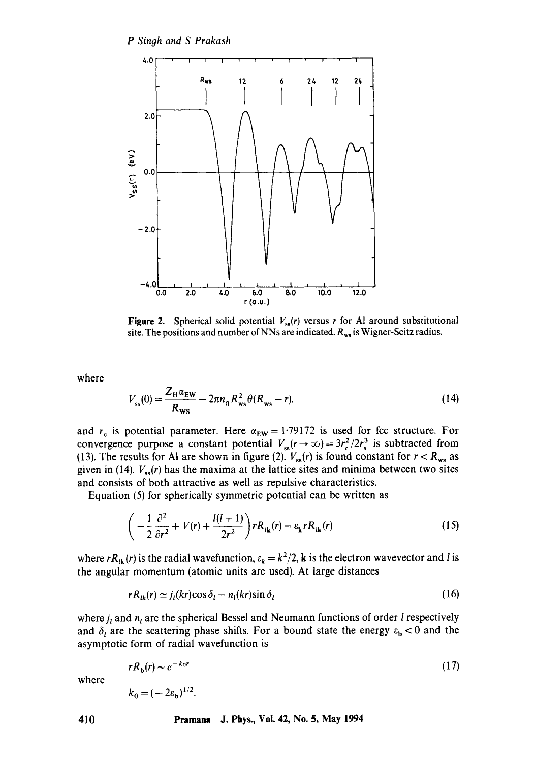

**Figure 2.** Spherical solid potential  $V_{ss}(r)$  versus r for Al around substitutional site. The positions and number of NNs are indicated.  $R_{ws}$  is Wigner-Seitz radius.

where

$$
V_{ss}(0) = \frac{Z_H \alpha_{EW}}{R_{ws}} - 2\pi n_0 R_{ws}^2 \theta(R_{ws} - r).
$$
 (14)

and  $r_c$  is potential parameter. Here  $\alpha_{EW} = 1.79172$  is used for fcc structure. For convergence purpose a constant potential  $V_{ss}(r \to \infty) = 3r_c^2/2r_s^3$  is subtracted from (13). The results for Al are shown in figure (2).  $V_{ss}(r)$  is found constant for  $r < R_{ws}$  as given in (14).  $V_{ss}(r)$  has the maxima at the lattice sites and minima between two sites and consists of both attractive as well as repulsive characteristics.

Equation (5) for spherically symmetric potential can be written as

$$
\left(-\frac{1}{2}\frac{\partial^2}{\partial r^2} + V(r) + \frac{l(l+1)}{2r^2}\right) rR_{l\mathbf{k}}(r) = \varepsilon_{\mathbf{k}} rR_{l\mathbf{k}}(r) \tag{15}
$$

where  $rR_{ik}(r)$  is the radial wavefunction,  $\varepsilon_k = k^2/2$ , k is the electron wavevector and l is the angular momentum (atomic units are used). At large distances

$$
rR_{lk}(r) \simeq j_l(kr)\cos\delta_l - n_l(kr)\sin\delta_l \tag{16}
$$

where  $j_i$  and  $n_i$  are the spherical Bessel and Neumann functions of order *l* respectively and  $\delta_t$  are the scattering phase shifts. For a bound state the energy  $\varepsilon_b < 0$  and the asymptotic form of radial wavefunction is

$$
rR_{\rm b}(r) \sim e^{-k_0 r}
$$
  
\n
$$
k_0 = (-2\varepsilon_{\rm b})^{1/2}.
$$
\n(17)

where

$$
= (-2\varepsilon_{\mathbf{h}})^{1/2}.
$$

**410 Pramana - J. Phys., Vol. 42, No. 5, May 1994**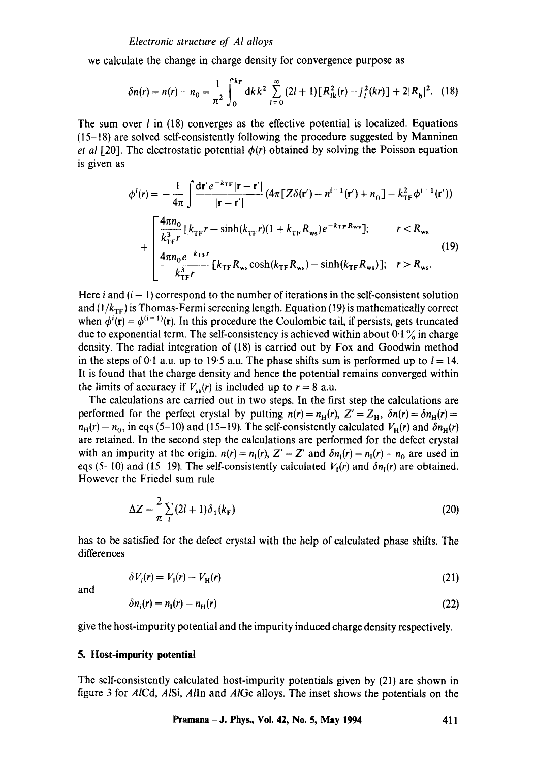we calculate the change in charge density for convergence purpose as

$$
\delta n(r) = n(r) - n_0 = \frac{1}{\pi^2} \int_0^{k_F} dk \, k^2 \sum_{l=0}^{\infty} \left( 2l + 1 \right) \left[ R_{lk}^2(r) - j_l^2(kr) \right] + 2|R_{\rm b}|^2. \tag{18}
$$

The sum over  $l$  in (18) converges as the effective potential is localized. Equations (15-18) are solved self-consistently following the procedure suggested by Manninen *et al [20]*. The electrostatic potential  $\phi(r)$  obtained by solving the Poisson equation is given as

$$
\phi^{i}(r) = -\frac{1}{4\pi} \int \frac{dr' e^{-k\tau F} |r - r'|}{|r - r'|} (4\pi [Z\delta(r') - n^{i-1}(r') + n_0] - k_{TF}^2 \phi^{i-1}(r')) + \begin{bmatrix} \frac{4\pi n_0}{k_{TF}^3} [k_{TF}r - \sinh(k_{TF}r)(1 + k_{TF}R_{ws})e^{-k_{TF}R_{ws}}]; & r < R_{ws} \\ \frac{4\pi n_0 e^{-k_{TF}r}}{k_{TF}^3} [k_{TF}R_{ws} \cosh(k_{TF}R_{ws}) - \sinh(k_{TF}R_{ws})]; & r > R_{ws} . \end{bmatrix}
$$
(19)

Here  $i$  and  $(i - 1)$  correspond to the number of iterations in the self-consistent solution and  $(1/k_{TF})$  is Thomas-Fermi screening length. Equation (19) is mathematically correct when  $\phi^{i}(\mathbf{r}) = \phi^{(i-1)}(\mathbf{r})$ . In this procedure the Coulombic tail, if persists, gets truncated due to exponential term. The self-consistency is achieved within about  $0.1\%$  in charge density. The radial integration of (18) is carried out by Fox and Goodwin method in the steps of 0.1 a.u. up to 19.5 a.u. The phase shifts sum is performed up to  $l = 14$ . It is found that the charge density and hence the potential remains converged within the limits of accuracy if  $V_{ss}(r)$  is included up to  $r = 8$  a.u.

The calculations are carried out in two steps. In the first step the calculations are performed for the perfect crystal by putting  $n(r) = n_H(r)$ ,  $Z' = Z_H$ ,  $\delta n(r) = \delta n_H(r)$  $n_H(r) - n_0$ , in eqs (5-10) and (15-19). The self-consistently calculated  $V_H(r)$  and  $\delta n_H(r)$ are retained. In the second step the calculations are performed for the defect crystal with an impurity at the origin,  $n(r) = n_1(r)$ ,  $Z' = Z'$  and  $\delta n_1(r) = n_1(r) - n_0$  are used in eqs (5-10) and (15-19). The self-consistently calculated  $V_1(r)$  and  $\delta n_1(r)$  are obtained. However the Friedel sum rule

$$
\Delta Z = -\frac{2}{\pi} \sum_{l} (2l+1) \delta_1(k_{\rm F})
$$
\n(20)

has to be satisfied for the defect crystal with the help of calculated phase shifts. The differences

$$
\delta V_i(r) = V_1(r) - V_{\rm H}(r) \tag{21}
$$

and

$$
\delta n_i(r) = n_i(r) - n_{\rm H}(r) \tag{22}
$$

give the host-impurity potential and the impurity induced charge density respectively.

# **5. Host-impurity potential**

The self-consistently calculated host-impurity potentials given by (21) are shown in figure 3 for *AICd, AlSi, Alln* and *AIGe* alloys. The inset shows the potentials on the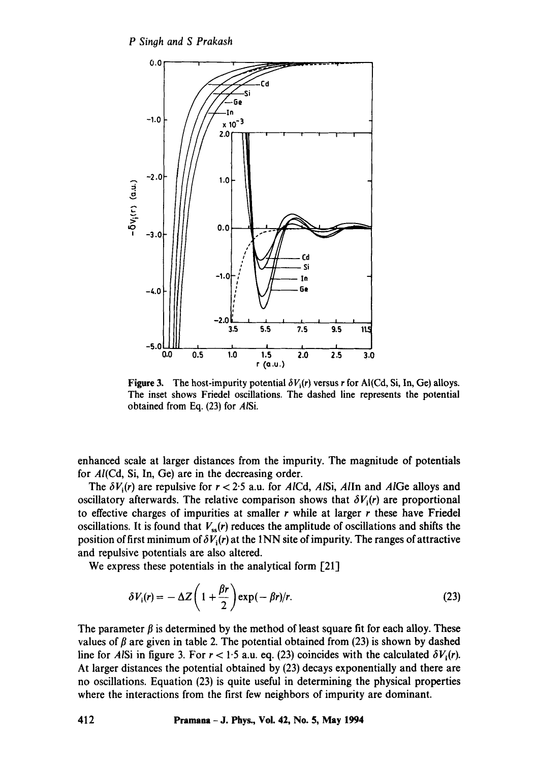

**Figure 3.** The host-impurity potential  $\delta V_i(r)$  versus r for Al(Cd, Si, In, Ge) alloys. The inset shows Friedel oscillations. The dashed line represents the potential obtained from Eq. (23) for *AISi.* 

enhanced scale at larger distances from the impurity. The magnitude of potentials for A/(Cd, Si, In, Ge) are in the decreasing order.

The  $\delta V_i(r)$  are repulsive for  $r < 2.5$  a.u. for *AICd, AISi, AIIn and AIGe alloys and* oscillatory afterwards. The relative comparison shows that  $\delta V_i(r)$  are proportional to effective charges of impurities at smaller  $r$  while at larger  $r$  these have Friedel oscillations. It is found that  $V_{ss}(r)$  reduces the amplitude of oscillations and shifts the position of first minimum of  $\delta V_i(r)$  at the 1NN site of impurity. The ranges of attractive and repulsive potentials are also altered.

We express these potentials in the analytical form [21]

$$
\delta V_i(r) = -\Delta Z \left( 1 + \frac{\beta r}{2} \right) \exp(-\beta r) / r. \tag{23}
$$

The parameter  $\beta$  is determined by the method of least square fit for each alloy. These values of  $\beta$  are given in table 2. The potential obtained from (23) is shown by dashed line for *AISi* in figure 3. For  $r < 1.5$  a.u. eq. (23) coincides with the calculated  $\delta V_i(r)$ . At larger distances the potential obtained by (23) decays exponentially and there are no oscillations. Equation (23) is quite useful in determining the physical properties where the interactions from the first few neighbors of impurity are dominant.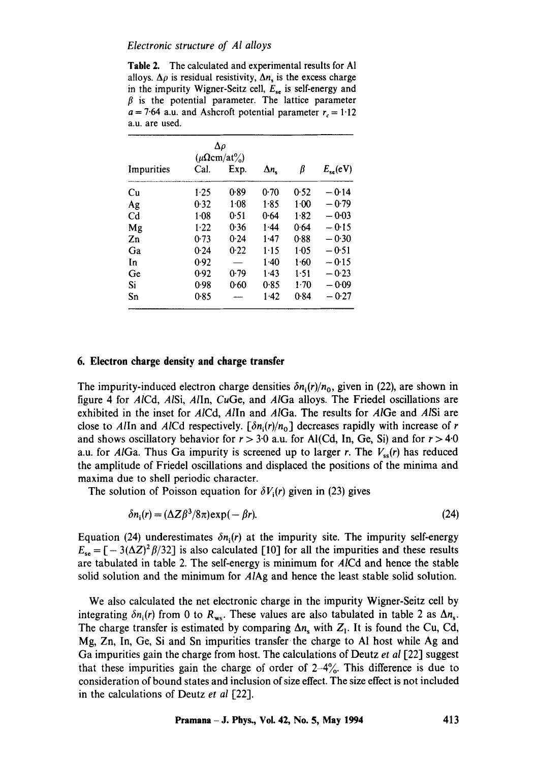#### *Electronic structure of AI alloys*

**Table** 2. The calculated and experimental results for AI alloys.  $\Delta \rho$  is residual resistivity,  $\Delta n_s$  is the excess charge in the impurity Wigner-Seitz cell,  $E_{se}$  is self-energy and  $\beta$  is the potential parameter. The lattice parameter  $a = 7.64$  a.u. and Ashcroft potential parameter  $r_c = 1.12$ a.u. are used.

| Δρ<br>$(\mu \Omega cm/at\%)$ |        |        |                    |          |               |
|------------------------------|--------|--------|--------------------|----------|---------------|
| Impurities                   | Cal.   | Exp.   | $\Delta n_{\rm c}$ | β        | $E_{se}$ (eV) |
| Сu                           | 1.25   | 0.89   | $0-70$             | 0.52     | $-0.14$       |
| Ag                           | 0.32   | $1-08$ | 1.85               | $1 - 00$ | $-0.79$       |
| Cd                           | $1-08$ | 0.51   | 0.64               | 1.82     | $-0.03$       |
| Mg                           | $1-22$ | 0.36   | $1 - 44$           | 0.64     | $-0.15$       |
| Zn                           | 0.73   | 0.24   | 1.47               | 0.88     | $-0.30$       |
| Ga                           | 0.24   | 0.22   | 1.15               | 1.05     | $-0.51$       |
| In                           | 0.92   |        | $1-40$             | $1-60$   | $-0.15$       |
| Ge                           | 0.92   | 0.79   | 1.43               | $1-51$   | $-0.23$       |
| Si                           | 0.98   | 0.60   | 0.85               | $1-70$   | $-0.09$       |
| Sn                           | 0.85   |        | $1-42$             | 0.84     | $-0.27$       |

#### **6. Electron charge density and charge transfer**

The impurity-induced electron charge densities  $\delta n_i(r)/n_o$ , given in (22), are shown in figure 4 for AICd, *AlSi, Alln, CuGe,* and *AlGa* alloys. The Friedel oscillations are exhibited in the inset for *AlCd, Alln* and *AlGa.* The results for *AlGe* and *AISi* are close to *Alln* and *AlCd* respectively.  $[\delta n_i(r)/n_0]$  decreases rapidly with increase of r and shows oscillatory behavior for  $r > 3.0$  a.u. for Al(Cd, In, Ge, Si) and for  $r > 4.0$ a.u. for *AlGa.* Thus Ga impurity is screened up to larger r. The *Vss(r)* has reduced the amplitude of Friedel oscillations and displaced the positions of the minima and maxima due to shell periodic character.

The solution of Poisson equation for  $\delta V_i(r)$  given in (23) gives

$$
\delta n_i(r) = (\Delta Z \beta^3 / 8\pi) \exp(-\beta r). \tag{24}
$$

Equation (24) underestimates  $\delta n_i(r)$  at the impurity site. The impurity self-energy  $E_{se} = [-3(\Delta Z)^2 \beta/32]$  is also calculated [10] for all the impurities and these results are tabulated in table 2. The self-energy is minimum for *AlCd* and hence the stable solid solution and the minimum for *AlAg* and hence the least stable solid solution.

We also calculated the net electronic charge in the impurity Wigner-Seitz cell by integrating  $\delta n_i(r)$  from 0 to  $R_{ws}$ . These values are also tabulated in table 2 as  $\Delta n_s$ . The charge transfer is estimated by comparing  $\Delta n_s$  with  $Z_1$ . It is found the Cu, Cd, Mg, Zn, In, Ge, Si and Sn impurities transfer the charge to AI host while Ag and Ga impurities gain the charge from host. The calculations of Deutz *et al* [22] suggest that these impurities gain the charge of order of  $2-4\%$ . This difference is due to consideration of bound states and inclusion of size effect. The size effect is not included in the calculations of Deutz *et al* [22].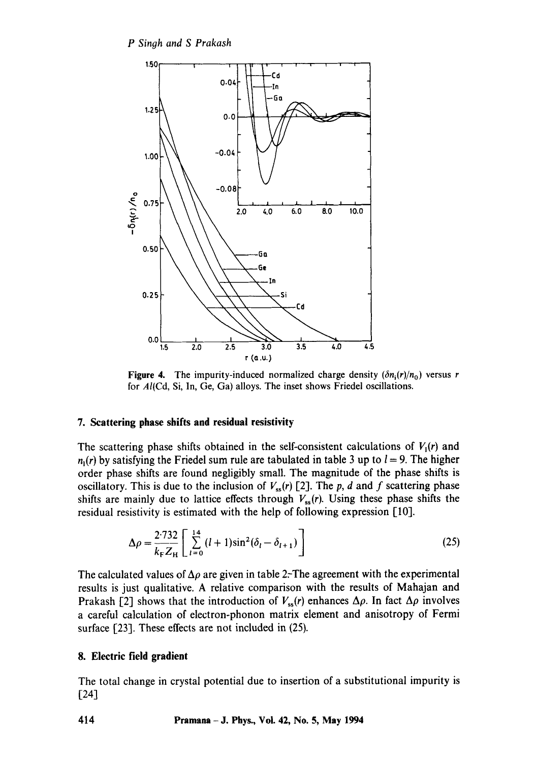

**Figure 4.** The impurity-induced normalized charge density  $(\delta n_i(r)/n_0)$  versus r for AI(Cd, Si, In, Ge, Ga) alloys. The inset shows Friedel oscillations.

## **7. Scattering phase shifts and residual resistivity**

The scattering phase shifts obtained in the self-consistent calculations of  $V_1(r)$  and  $n_1(r)$  by satisfying the Friedel sum rule are tabulated in table 3 up to  $l = 9$ . The higher order phase shifts are found negligibly small. The magnitude of the phase shifts is oscillatory. This is due to the inclusion of  $V_{ss}(r)$  [2]. The p, d and f scattering phase shifts are mainly due to lattice effects through  $V_{\rm ss}(r)$ . Using these phase shifts the residual resistivity is estimated with the help of following expression [10].

$$
\Delta \rho = \frac{2.732}{k_{\rm F} Z_{\rm H}} \left[ \sum_{l=0}^{14} (l+1) \sin^2(\delta_l - \delta_{l+1}) \right]
$$
 (25)

The calculated values of  $\Delta \rho$  are given in table 2. The agreement with the experimental results is just qualitative. A relative comparison with the results of Mahajan and Prakash [2] shows that the introduction of  $V_{ss}(r)$  enhances  $\Delta \rho$ . In fact  $\Delta \rho$  involves a careful calculation of electron-phonon matrix element and anisotropy of Fermi surface [23]. These effects are not included in (25).

# **8. Electric field gradient**

The total change in crystal potential due to insertion of a substitutional impurity is  $[24]$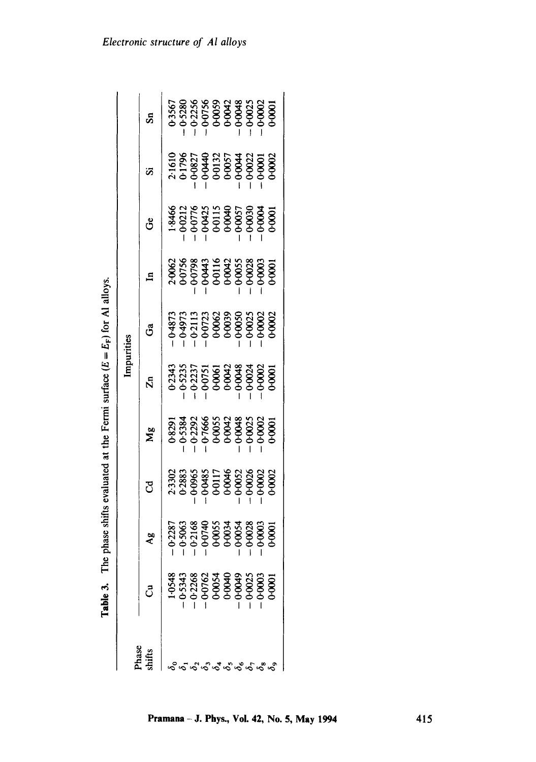| Phase |   |                                                                |                                                                                                                                    |    | Impurities                                                                                                                       |    |                                                                                 |    |   |      |
|-------|---|----------------------------------------------------------------|------------------------------------------------------------------------------------------------------------------------------------|----|----------------------------------------------------------------------------------------------------------------------------------|----|---------------------------------------------------------------------------------|----|---|------|
| hifts | ් | $\mathbf{A}^{\mathbf{g}}_{\mathbf{S}}$                         | ರ                                                                                                                                  | Μg | $\bar{\mathcal{N}}$                                                                                                              | යී | $\mathbf{H}$                                                                    | ဗီ | s | င်္ဘ |
|       |   |                                                                |                                                                                                                                    |    |                                                                                                                                  |    |                                                                                 |    |   |      |
|       |   |                                                                |                                                                                                                                    |    |                                                                                                                                  |    |                                                                                 |    |   |      |
|       |   | 228<br>506:306<br>6-316 4 55<br>6-306 506 506<br>6-306 506 506 | $2.3302$<br>$0.2883$<br>$0.285$<br>$0.285$<br>$0.295$<br>$0.295$<br>$0.295$<br>$0.295$<br>$0.295$<br>$0.295$<br>$0.295$<br>$0.295$ |    | $0.234$<br>$0.523$<br>$0.523$<br>$0.523$<br>$0.505$<br>$0.506$<br>$0.506$<br>$0.506$<br>$0.506$<br>$0.506$<br>$0.506$<br>$0.506$ |    | $2,9062$<br>0.0758<br>0.07938<br>0.0443<br>0.0003<br>0.0003<br>0.0003<br>0.0003 |    |   |      |
|       |   |                                                                |                                                                                                                                    |    |                                                                                                                                  |    |                                                                                 |    |   |      |
|       |   |                                                                |                                                                                                                                    |    |                                                                                                                                  |    |                                                                                 |    |   |      |
|       |   |                                                                |                                                                                                                                    |    |                                                                                                                                  |    |                                                                                 |    |   |      |
|       |   |                                                                |                                                                                                                                    |    |                                                                                                                                  |    |                                                                                 |    |   |      |
|       |   |                                                                |                                                                                                                                    |    |                                                                                                                                  |    |                                                                                 |    |   |      |
|       |   |                                                                |                                                                                                                                    |    |                                                                                                                                  |    |                                                                                 |    |   |      |
|       |   |                                                                |                                                                                                                                    |    |                                                                                                                                  |    |                                                                                 |    |   |      |
|       |   |                                                                |                                                                                                                                    |    |                                                                                                                                  |    |                                                                                 |    |   |      |

**Table 3.** The phase shifts evaluated at the Fermi surface  $(E = E_F)$  for Al alloys. **Table 3.** The phase shifts evaluated at the Fermi surface  $(E = E_F)$  for Al alloys.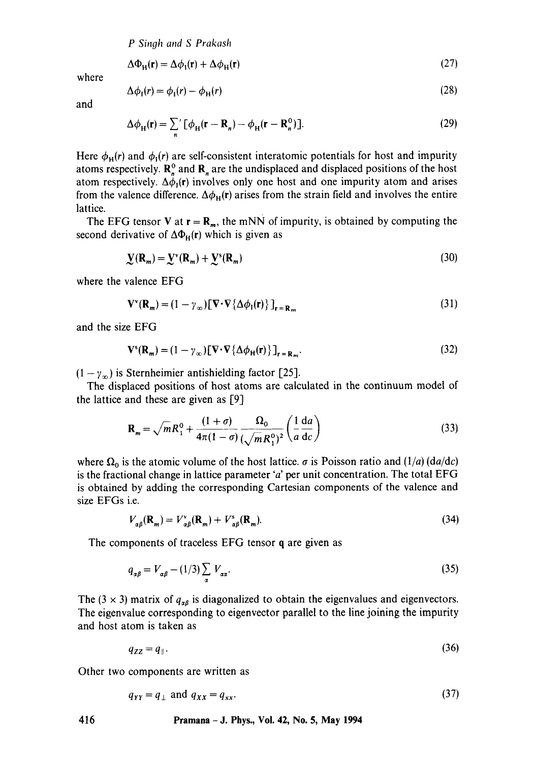*P Sinoh and S Prakash* 

$$
\Delta \Phi_{\rm H}(\mathbf{r}) = \Delta \phi_{\rm I}(\mathbf{r}) + \Delta \phi_{\rm H}(\mathbf{r}) \tag{27}
$$

where

$$
\Delta \phi_{\rm I}(r) = \phi_{\rm I}(r) - \phi_{\rm H}(r) \tag{28}
$$

and

$$
\Delta \phi_{\mathrm{H}}(\mathbf{r}) = \sum_{n} \left[ \phi_{\mathrm{H}}(\mathbf{r} - \mathbf{R}_{n}) - \phi_{\mathrm{H}}(\mathbf{r} - \mathbf{R}_{n}^{0}) \right].
$$
 (29)

Here  $\phi_H(r)$  and  $\phi_1(r)$  are self-consistent interatomic potentials for host and impurity atoms respectively.  $\mathbf{R}_{n}^{\upsilon}$  and  $\mathbf{R}_{n}$  are the undisplaced and displaced positions of the host atom respectively.  $\Delta \phi_1(r)$  involves only one host and one impurity atom and arises from the valence difference.  $\Delta\phi_{\rm H}(r)$  arises from the strain field and involves the entire lattice.

The EFG tensor V at  $r = R_m$ , the mNN of impurity, is obtained by computing the second derivative of  $\Delta\Phi_H(r)$  which is given as

$$
\mathbf{Y}(\mathbf{R}_m) = \mathbf{Y}^{\'}(\mathbf{R}_m) + \mathbf{Y}^{\'}(\mathbf{R}_m) \tag{30}
$$

where the valence EFG

$$
\mathbf{V}^{\mathbf{v}}(\mathbf{R}_{m}) = (1 - \gamma_{\infty}) [\nabla \cdot \nabla {\Delta \phi_{1}(\mathbf{r})}]_{\mathbf{r} = \mathbf{R}_{m}}
$$
\n(31)

and the size EFG

$$
\mathbf{V}^s(\mathbf{R}_m) = (1 - \gamma_\infty) [\nabla \cdot \nabla \{ \Delta \phi_H(\mathbf{r}) \}]_{\mathbf{r} = \mathbf{R}_m}.
$$
 (32)

 $(1 - \gamma_{\infty})$  is Sternheimier antishielding factor [25].

The displaced positions of host atoms are calculated in the continuum model of the lattice and these are given as [9]

$$
\mathbf{R}_m = \sqrt{m}R_1^0 + \frac{(1+\sigma)}{4\pi(1-\sigma)}\frac{\Omega_0}{\left(\sqrt{m}R_1^0\right)^2} \left(\frac{1}{a}\frac{da}{dc}\right) \tag{33}
$$

where  $\Omega_0$  is the atomic volume of the host lattice,  $\sigma$  is Poisson ratio and (1/a) *(da/dc)* is the fractional change in lattice parameter 'a' per unit concentration. The total  $EFG$ is obtained by adding the corresponding Cartesian components of the valence and size EFGs i.e.

$$
V_{\alpha\beta}(\mathbf{R}_m) = V_{\alpha\beta}^{\mathbf{v}}(\mathbf{R}_m) + V_{\alpha\beta}^{\mathbf{s}}(\mathbf{R}_m). \tag{34}
$$

The components of traceless EFG tensor q are given as

$$
q_{\alpha\beta} = V_{\alpha\beta} - (1/3) \sum_{\alpha} V_{\alpha\alpha}.
$$
 (35)

The (3  $\times$  3) matrix of  $q_{\alpha\beta}$  is diagonalized to obtain the eigenvalues and eigenvectors. The eigenvalue corresponding to eigenvector parallel to the line joining the impurity and host atom is taken as

$$
q_{ZZ} = q_{\parallel}. \tag{36}
$$

Other two components are written as

$$
q_{YY} = q_{\perp} \text{ and } q_{XX} = q_{xx}.\tag{37}
$$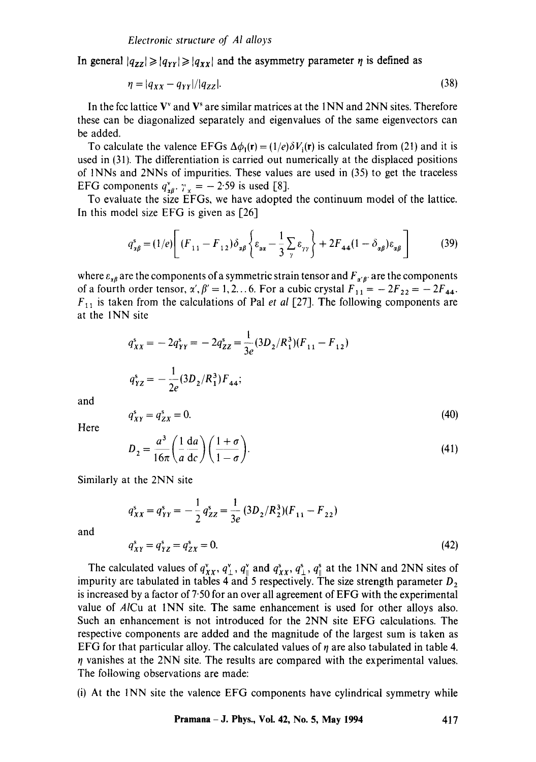In general  $|q_{zz}| \ge |q_{YY}| \ge |q_{XX}|$  and the asymmetry parameter  $\eta$  is defined as

$$
\eta = |q_{XX} - q_{YY}| / |q_{ZZ}|. \tag{38}
$$

In the fcc lattice  $V^{\prime}$  and  $V^{\prime}$  are similar matrices at the 1NN and 2NN sites. Therefore these can be diagonalized separately and eigenvalues of the same eigenvectors can be added.

To calculate the valence EFGs  $\Delta\phi_1(\mathbf{r}) = (1/e)\delta V_i(\mathbf{r})$  is calculated from (21) and it is used in (31). The differentiation is carried out numerically at the displaced positions of INNs and 2NNs of impurities. These values are used in (35) to get the traceless EFG components  $q_{\text{z}0}^{\text{v}}$ .  $\gamma_{\text{z}} = -2.59$  is used [8].

To evaluate the size EFGs, we have adopted the continuum model of the lattice. In this model size EFG is given as [26]

$$
q_{\mathbf{z}\beta}^s = (1/e) \left[ (F_{11} - F_{12}) \delta_{\mathbf{z}\beta} \left\{ \varepsilon_{\mathbf{z}\mathbf{z}} - \frac{1}{3} \sum_{\gamma} \varepsilon_{\gamma\gamma} \right\} + 2F_{44} (1 - \delta_{\mathbf{z}\beta}) \varepsilon_{\mathbf{z}\beta} \right]
$$
(39)

where  $\varepsilon_{\alpha\beta}$  are the components of a symmetric strain tensor and  $F_{\alpha'\beta'}$  are the components of a fourth order tensor,  $\alpha'$ ,  $\beta' = 1, 2...$  6. For a cubic crystal  $F_{11} = -2F_{22} = -2F_{44}$ .  $F_{11}$  is taken from the calculations of Pal *et al* [27]. The following components are at the INN site

$$
q_{XX}^s = -2q_{YY}^s = -2q_{ZZ}^s = \frac{1}{3e}(3D_2/R_1^3)(F_{11} - F_{12})
$$
  

$$
q_{YZ}^s = -\frac{1}{2e}(3D_2/R_1^3)F_{44};
$$

and

$$
q_{XY}^s = q_{ZX}^s = 0. \tag{40}
$$

Here

$$
D_2 = \frac{a^3}{16\pi} \left(\frac{1}{a}\frac{da}{dc}\right) \left(\frac{1+\sigma}{1-\sigma}\right).
$$
 (41)

Similarly at the 2NN site

$$
q_{XX}^s = q_{YY}^s = -\frac{1}{2} q_{ZZ}^s = \frac{1}{3e} (3D_2/R_2^3)(F_{11} - F_{22})
$$
  

$$
q_{XY}^s = q_{YZ}^s = q_{ZX}^s = 0.
$$
 (42)

and

The calculated values of  $q_{XX}^v$ ,  $q_{\perp}^v$ ,  $q_{\parallel}^s$  and  $q_{XX}^s$ ,  $q_{\perp}^s$ ,  $q_{\parallel}^s$  at the 1NN and 2NN sites of impurity are tabulated in tables 4 and 5 respectively. The size strength parameter  $D_2$ is increased by a factor of 7'50 for an over all agreement of EFG with the experimental value of *AICu* at INN site. The same enhancement is used for other alloys also. Such an enhancement is not introduced for the 2NN site EFG calculations. The respective components are added and the magnitude of the largest sum is taken as EFG for that particular alloy. The calculated values of  $\eta$  are also tabulated in table 4.  $\eta$  vanishes at the 2NN site. The results are compared with the experimental values. The following observations are made:

(i) At the 1NN site the valence EFG components have cylindrical symmetry while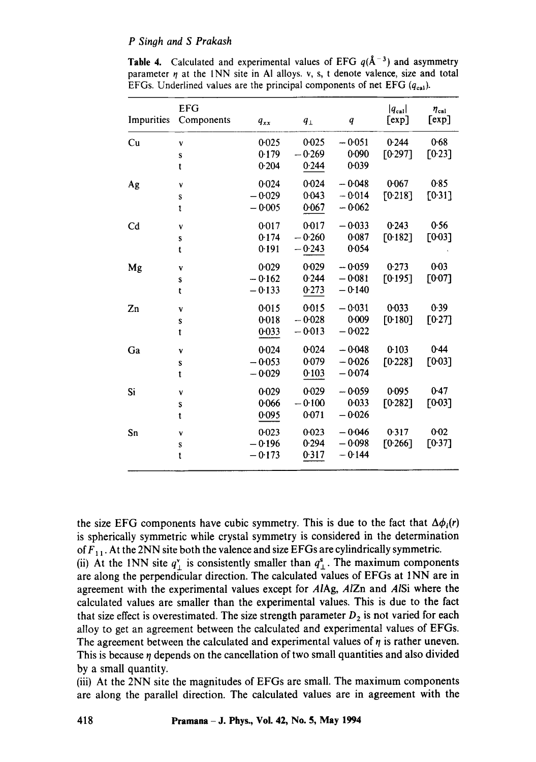#### *P Singh and S Prakash*

| <b>Table 4.</b> Calculated and experimental values of EFG $q(A^{-3})$ and asymmetry   |
|---------------------------------------------------------------------------------------|
| parameter $\eta$ at the 1NN site in Al alloys. v, s, t denote valence, size and total |
| EFGs. Underlined values are the principal components of net EFG $(q_{\text{cal}})$ .  |

| 0.025<br>$-0.051$<br>0.244<br>Cu<br>0.025<br>V<br>0.179<br>$-0.269$<br>0.090<br>T0.2971<br>S<br>0.039<br>0.244<br>0.204<br>t<br>0.024<br>$-0.048$<br>0.067<br>0.024<br>Ag<br>٧<br>0.043<br>$-0.014$<br>[0.218]<br>$-0.029$<br>S<br>$-0.005$<br>0.067<br>$-0.062$<br>t<br>0.017<br>$-0.033$<br>0.243<br>0.017<br>C <sub>d</sub><br>V<br>0.087<br>$-0.260$<br>0.174<br>F0.1821<br>S<br>0.054<br>$-0.243$<br>0.191<br>t | $\eta_{\rm cal}$<br>[exp] |
|----------------------------------------------------------------------------------------------------------------------------------------------------------------------------------------------------------------------------------------------------------------------------------------------------------------------------------------------------------------------------------------------------------------------|---------------------------|
|                                                                                                                                                                                                                                                                                                                                                                                                                      | 0.68                      |
|                                                                                                                                                                                                                                                                                                                                                                                                                      | [0.23]                    |
|                                                                                                                                                                                                                                                                                                                                                                                                                      |                           |
|                                                                                                                                                                                                                                                                                                                                                                                                                      | 0.85                      |
|                                                                                                                                                                                                                                                                                                                                                                                                                      | [0.31]                    |
|                                                                                                                                                                                                                                                                                                                                                                                                                      |                           |
|                                                                                                                                                                                                                                                                                                                                                                                                                      | 0.56                      |
|                                                                                                                                                                                                                                                                                                                                                                                                                      | [0.03]                    |
|                                                                                                                                                                                                                                                                                                                                                                                                                      |                           |
| 0.029<br>$-0.059$<br>0.273<br>$0 - 029$<br>Mg<br>V                                                                                                                                                                                                                                                                                                                                                                   | 0.03                      |
| 0.244<br>$-0.081$<br>[0.195]<br>$-0.162$<br>S                                                                                                                                                                                                                                                                                                                                                                        | [007]                     |
| 0.273<br>$-0.140$<br>$-0.133$<br>t                                                                                                                                                                                                                                                                                                                                                                                   |                           |
| $-0.031$<br>0.033<br>0.015<br>0.015<br>Zn<br>V                                                                                                                                                                                                                                                                                                                                                                       | 0.39                      |
| $-0.028$<br>0.018<br>0.009<br>[0.180]<br>S                                                                                                                                                                                                                                                                                                                                                                           | [0.27]                    |
| $-0.022$<br>$-0.013$<br>0.033<br>t                                                                                                                                                                                                                                                                                                                                                                                   |                           |
| 0.024<br>0.103<br>$-0.048$<br>0.024<br>Ga<br>V                                                                                                                                                                                                                                                                                                                                                                       | 0.44                      |
| 0.079<br>$-0.026$<br>$-0.053$<br>[0.228]<br>S                                                                                                                                                                                                                                                                                                                                                                        | [0.03]                    |
| 0.103<br>$-0.074$<br>$-0.029$<br>t                                                                                                                                                                                                                                                                                                                                                                                   |                           |
| 0.029<br>$-0.059$<br>0.095<br>0.029<br>Si<br>V                                                                                                                                                                                                                                                                                                                                                                       | 0.47                      |
| $-0.100$<br>0.033<br>0.066<br>[0.282]<br>S                                                                                                                                                                                                                                                                                                                                                                           | [0.03]                    |
| 0.071<br>$-0.026$<br>0.095<br>t                                                                                                                                                                                                                                                                                                                                                                                      |                           |
| 0.023<br>$-0.046$<br>0.317<br>$0 - 023$<br>Sn<br>٧                                                                                                                                                                                                                                                                                                                                                                   | 0.02                      |
| 0.294<br>$-0.098$<br>[0.266]<br>$-0.196$<br>${\bf S}$                                                                                                                                                                                                                                                                                                                                                                | [0.37]                    |
| 0.317<br>$-0.144$<br>$-0.173$<br>t                                                                                                                                                                                                                                                                                                                                                                                   |                           |

the size EFG components have cubic symmetry. This is due to the fact that  $\Delta\phi_i(r)$ is spherically symmetric while crystal symmetry is considered in the determination of  $F_{11}$ . At the 2NN site both the valence and size EFGs are cylindrically symmetric.

(ii) At the 1NN site  $q^v_{\perp}$  is consistently smaller than  $q^s_{\perp}$ . The maximum components are along the perpendicular direction. The calculated values of EFGs at 1NN are in agreement with the experimental values except for A/Ag, *AIZn* and *AISi* where the calculated values are smaller than the experimental values. This is due to the fact that size effect is overestimated. The size strength parameter  $D_2$  is not varied for each alloy to get an agreement between the calculated and experimental values of EFGs. The agreement between the calculated and experimental values of  $\eta$  is rather uneven. This is because  $\eta$  depends on the cancellation of two small quantities and also divided by a small quantity.

(iii) At the 2NN site the magnitudes of EFGs are small. The maximum components are along the parallel direction. The calculated values are in agreement with the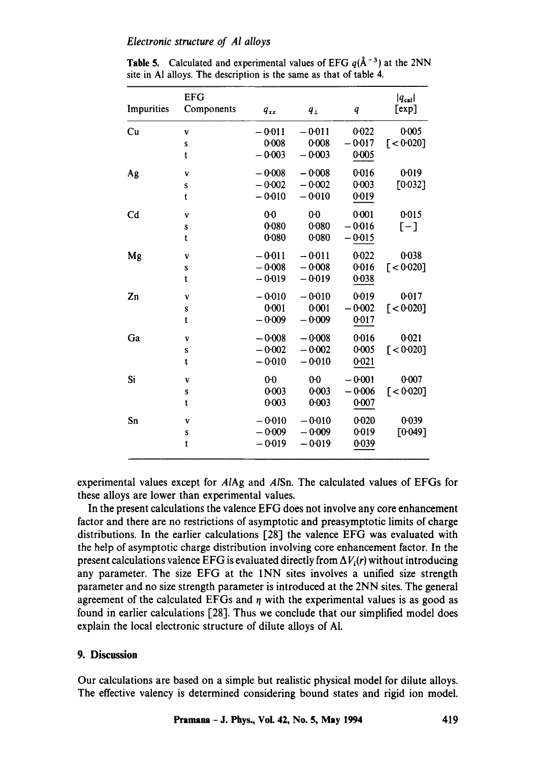## *Electronic structure of A! alloys*

| Impurities     | <b>EFG</b><br>Components | $q_{xx}$       | $q_{\perp}$    | q        | $ q_{\text{cal}} $<br>[exp] |
|----------------|--------------------------|----------------|----------------|----------|-----------------------------|
|                |                          |                |                |          |                             |
| Cu             | ٧                        | $-0.011$       | $-0.011$       | 0.022    | 0.005                       |
|                | S                        | $0 - 008$      | 0.008          | $-0.017$ | $\lceil < 0.020 \rceil$     |
|                | t                        | $-0.003$       | $-0.003$       | 0.005    |                             |
| Ag             | V                        | $-0.008$       | $-0.008$       | 0.016    | 0.019                       |
|                | S                        | $-0.002$       | $-0.002$       | 0.003    | [0.032]                     |
|                | t                        | $-0.010$       | $-0.010$       | 0.019    |                             |
| C <sub>d</sub> | ٧                        | 0 <sub>0</sub> | 0 <sub>0</sub> | 0.001    | 0.015                       |
|                | S                        | 0.080          | 0.080          | $-0.016$ | $[-]$                       |
|                | t                        | 0.080          | 0.080          | $-0.015$ |                             |
| Mg             | V                        | $-0.011$       | $-0.011$       | 0.022    | 0.038                       |
|                | S                        | $-0.008$       | $-0.008$       | 0.016    | $\lceil < 0.020 \rceil$     |
|                | t                        | $-0.019$       | $-0.019$       | 0.038    |                             |
| Zn             | V                        | $-0.010$       | $-0.010$       | 0.019    | 0.017                       |
|                | S                        | 0:001          | $0 - 001$      | $-0.002$ | $\lceil < 0.020 \rceil$     |
|                | t                        | $-0.009$       | $-0.009$       | 0.017    |                             |
| Ga             | V                        | $-0.008$       | $-0.008$       | 0.016    | 0.021                       |
|                | S                        | $-0.002$       | $-0.002$       | 0.005    | $\lceil$ < 0.020]           |
|                | t                        | $-0.010$       | $-0.010$       | 0.021    |                             |
| Si             | ٧                        | 0 <sup>0</sup> | $0-0$          | $-0.001$ | 0.007                       |
|                | S                        | 0:003          | $0 - 003$      | $-0.006$ | [ < 0.020]                  |
|                | t                        | 0:003          | 0.003          | 0:007    |                             |
| Sn             | V                        | $-0.010$       | $-0.010$       | 0.020    | 0.039                       |
|                | S                        | $-0.009$       | $-0.009$       | 0.019    | [0.049]                     |
|                | t                        | $-0.019$       | $-0.019$       | 0.039    |                             |
|                |                          |                |                |          |                             |

**Table 5.** Calculated and experimental values of EFG  $q(A^{-3})$  at the 2NN site in AI alloys. The description is the same as that of table 4.

experimental values except for *AIAg* and *AISn.* The calculated values of EFGs for these alloys are lower than experimental values.

In the present calculations the valence EFG does not involve any core enhancement factor and there are no restrictions of asymptotic and preasymptotic limits of charge distributions. In the earlier calculations [28] the valence EFG was evaluated with the help of asymptotic charge distribution involving core enhancement factor. In the present calculations valence EFG is evaluated directly from  $\Delta V_i(r)$  without introducing any parameter. The size EFG at the INN sites involves a unified size strength parameter and no size strength parameter is introduced at the 2NN sites. The general agreement of the calculated EFGs and  $\eta$  with the experimental values is as good as found in earlier calculations [28]. Thus we conclude that our simplified model does explain the local electronic structure of dilute alloys of AI.

# **9. Discussion**

Our calculations are based on a simple but realistic physical model for dilute alloys. The effective valency is determined considering bound states and rigid ion model.